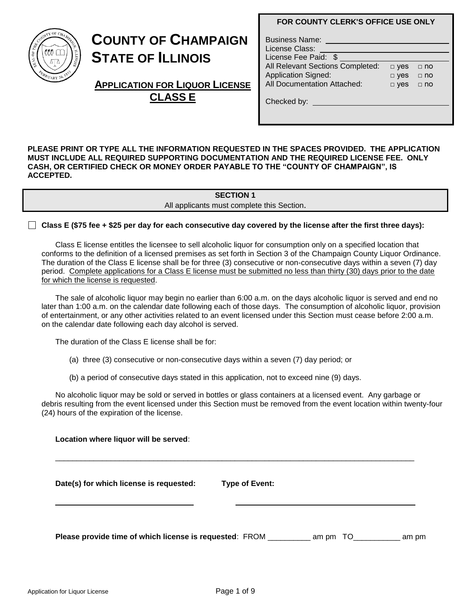#### **FOR COUNTY CLERK'S OFFICE USE ONLY**

| E COUNTY OF CHAMPS<br>$S_{IOMTT}$<br>Ź |
|----------------------------------------|
| EBRUARY 20, 1833                       |

# **COUNTY OF CHAMPAIGN STATE OF ILLINOIS**

**APPLICATION FOR LIQUOR LICENSE CLASS E**

| <b>Business Name:</b><br>License Class: |            |             |
|-----------------------------------------|------------|-------------|
| License Fee Paid: \$                    |            |             |
| All Relevant Sections Completed:        | $\Box$ yes | $\sqcap$ no |
| <b>Application Signed:</b>              | $\Box$ yes | $\Box$ no   |
| <b>All Documentation Attached:</b>      | $\Box$ yes | $\sqcap$ no |
| Checked by:                             |            |             |

**PLEASE PRINT OR TYPE ALL THE INFORMATION REQUESTED IN THE SPACES PROVIDED. THE APPLICATION MUST INCLUDE ALL REQUIRED SUPPORTING DOCUMENTATION AND THE REQUIRED LICENSE FEE. ONLY CASH, OR CERTIFIED CHECK OR MONEY ORDER PAYABLE TO THE "COUNTY OF CHAMPAIGN", IS ACCEPTED.**

### **SECTION 1**

All applicants must complete this Section.

**Class E (\$75 fee + \$25 per day for each consecutive day covered by the license after the first three days):** 

Class E license entitles the licensee to sell alcoholic liquor for consumption only on a specified location that conforms to the definition of a licensed premises as set forth in Section 3 of the Champaign County Liquor Ordinance. The duration of the Class E license shall be for three (3) consecutive or non-consecutive days within a seven (7) day period. Complete applications for a Class E license must be submitted no less than thirty (30) days prior to the date for which the license is requested.

The sale of alcoholic liquor may begin no earlier than 6:00 a.m. on the days alcoholic liquor is served and end no later than 1:00 a.m. on the calendar date following each of those days. The consumption of alcoholic liquor, provision of entertainment, or any other activities related to an event licensed under this Section must cease before 2:00 a.m. on the calendar date following each day alcohol is served.

The duration of the Class E license shall be for:

- (a) three (3) consecutive or non-consecutive days within a seven (7) day period; or
- (b) a period of consecutive days stated in this application, not to exceed nine (9) days.

No alcoholic liquor may be sold or served in bottles or glass containers at a licensed event. Any garbage or debris resulting from the event licensed under this Section must be removed from the event location within twenty-four (24) hours of the expiration of the license.

| Date(s) for which license is requested: | <b>Type of Event:</b> |  |  |
|-----------------------------------------|-----------------------|--|--|
|                                         |                       |  |  |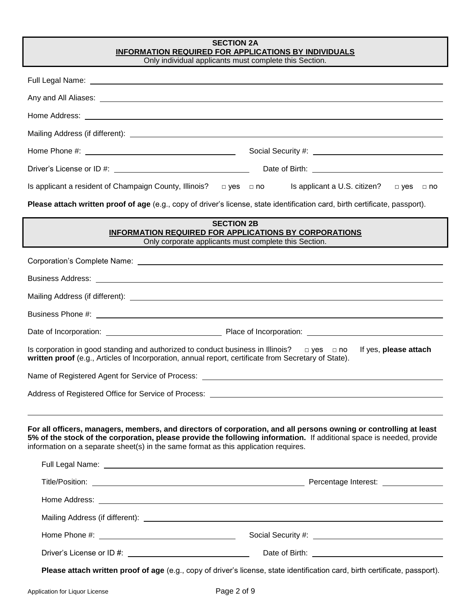| <b>SECTION 2A</b><br><b>INFORMATION REQUIRED FOR APPLICATIONS BY INDIVIDUALS</b><br>Only individual applicants must complete this Section.                                                                                                                                                                                       |  |  |  |  |
|----------------------------------------------------------------------------------------------------------------------------------------------------------------------------------------------------------------------------------------------------------------------------------------------------------------------------------|--|--|--|--|
| Full Legal Name: et al. 2014 and 2014 and 2014 and 2014 and 2014 and 2014 and 2014 and 2014 and 2014 and 2014                                                                                                                                                                                                                    |  |  |  |  |
|                                                                                                                                                                                                                                                                                                                                  |  |  |  |  |
|                                                                                                                                                                                                                                                                                                                                  |  |  |  |  |
|                                                                                                                                                                                                                                                                                                                                  |  |  |  |  |
|                                                                                                                                                                                                                                                                                                                                  |  |  |  |  |
| Date of Birth: <u>contract and a series of Birth:</u><br>Driver's License or ID #: \\contact \\contact \\contact \\contact \\contact \\contact \\contact \\contact \\contact \\contact \\contact \\contact \\contact \\contact \\contact \\contact \\contact \\contact \\contact \\cont                                          |  |  |  |  |
| Is applicant a resident of Champaign County, Illinois? $\Box$ yes $\Box$ no Is applicant a U.S. citizen? $\Box$ yes $\Box$ no                                                                                                                                                                                                    |  |  |  |  |
| Please attach written proof of age (e.g., copy of driver's license, state identification card, birth certificate, passport).                                                                                                                                                                                                     |  |  |  |  |
| <b>SECTION 2B</b><br><b>INFORMATION REQUIRED FOR APPLICATIONS BY CORPORATIONS</b><br>Only corporate applicants must complete this Section.                                                                                                                                                                                       |  |  |  |  |
|                                                                                                                                                                                                                                                                                                                                  |  |  |  |  |
|                                                                                                                                                                                                                                                                                                                                  |  |  |  |  |
|                                                                                                                                                                                                                                                                                                                                  |  |  |  |  |
|                                                                                                                                                                                                                                                                                                                                  |  |  |  |  |
|                                                                                                                                                                                                                                                                                                                                  |  |  |  |  |
| Is corporation in good standing and authorized to conduct business in Illinois? $\Box$ yes $\Box$ no<br>If yes, please attach<br>written proof (e.g., Articles of Incorporation, annual report, certificate from Secretary of State).                                                                                            |  |  |  |  |
| Name of Registered Agent for Service of Process:                                                                                                                                                                                                                                                                                 |  |  |  |  |
|                                                                                                                                                                                                                                                                                                                                  |  |  |  |  |
| For all officers, managers, members, and directors of corporation, and all persons owning or controlling at least<br>5% of the stock of the corporation, please provide the following information. If additional space is needed, provide<br>information on a separate sheet(s) in the same format as this application requires. |  |  |  |  |
| Full Legal Name: Name: Name and Separate and Separate and Separate and Separate and Separate and Separate and Separate and Separate and Separate and Separate and Separate and Separate and Separate and Separate and Separate                                                                                                   |  |  |  |  |
|                                                                                                                                                                                                                                                                                                                                  |  |  |  |  |
|                                                                                                                                                                                                                                                                                                                                  |  |  |  |  |
|                                                                                                                                                                                                                                                                                                                                  |  |  |  |  |
|                                                                                                                                                                                                                                                                                                                                  |  |  |  |  |
| Please attach written proof of age (e.g., copy of driver's license, state identification card, birth certificate, passport).                                                                                                                                                                                                     |  |  |  |  |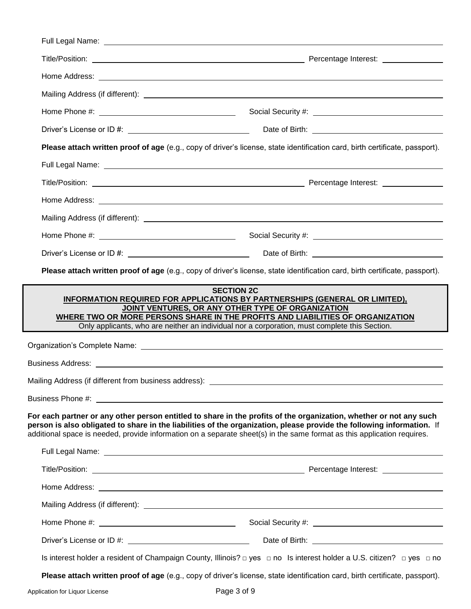|                                                       | Please attach written proof of age (e.g., copy of driver's license, state identification card, birth certificate, passport).                                                                                                                                                                                                                                                                                                                                                         |
|-------------------------------------------------------|--------------------------------------------------------------------------------------------------------------------------------------------------------------------------------------------------------------------------------------------------------------------------------------------------------------------------------------------------------------------------------------------------------------------------------------------------------------------------------------|
|                                                       | Full Legal Name: et al. 2010 and 2010 and 2010 and 2010 and 2010 and 2010 and 2010 and 2010 and 2010 and 2010                                                                                                                                                                                                                                                                                                                                                                        |
|                                                       |                                                                                                                                                                                                                                                                                                                                                                                                                                                                                      |
|                                                       |                                                                                                                                                                                                                                                                                                                                                                                                                                                                                      |
|                                                       |                                                                                                                                                                                                                                                                                                                                                                                                                                                                                      |
|                                                       |                                                                                                                                                                                                                                                                                                                                                                                                                                                                                      |
|                                                       |                                                                                                                                                                                                                                                                                                                                                                                                                                                                                      |
|                                                       | Please attach written proof of age (e.g., copy of driver's license, state identification card, birth certificate, passport).                                                                                                                                                                                                                                                                                                                                                         |
|                                                       | <b>SECTION 2C</b><br>INFORMATION REQUIRED FOR APPLICATIONS BY PARTNERSHIPS (GENERAL OR LIMITED),<br>JOINT VENTURES, OR ANY OTHER TYPE OF ORGANIZATION<br>WHERE TWO OR MORE PERSONS SHARE IN THE PROFITS AND LIABILITIES OF ORGANIZATION<br>Only applicants, who are neither an individual nor a corporation, must complete this Section.                                                                                                                                             |
|                                                       |                                                                                                                                                                                                                                                                                                                                                                                                                                                                                      |
|                                                       |                                                                                                                                                                                                                                                                                                                                                                                                                                                                                      |
|                                                       |                                                                                                                                                                                                                                                                                                                                                                                                                                                                                      |
| Mailing Address (if different from business address): |                                                                                                                                                                                                                                                                                                                                                                                                                                                                                      |
|                                                       | additional space is needed, provide information on a separate sheet(s) in the same format as this application requires.                                                                                                                                                                                                                                                                                                                                                              |
|                                                       |                                                                                                                                                                                                                                                                                                                                                                                                                                                                                      |
|                                                       |                                                                                                                                                                                                                                                                                                                                                                                                                                                                                      |
|                                                       |                                                                                                                                                                                                                                                                                                                                                                                                                                                                                      |
|                                                       |                                                                                                                                                                                                                                                                                                                                                                                                                                                                                      |
|                                                       | For each partner or any other person entitled to share in the profits of the organization, whether or not any such<br>person is also obligated to share in the liabilities of the organization, please provide the following information. If<br>Full Legal Name: <u>Name: Name of the Contract of the Contract of the Contract of the Contract of the Contract of the Contract of the Contract of the Contract of the Contract of the Contract of the Contract of the Contract o</u> |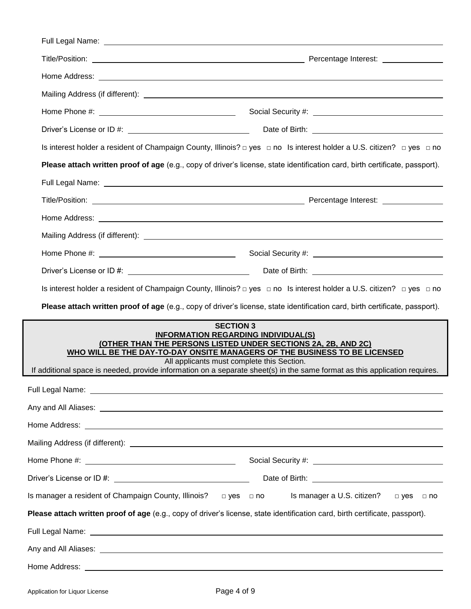|                                                                 | Is interest holder a resident of Champaign County, Illinois? □ yes □ no Is interest holder a U.S. citizen? □ yes □ no                                                                                                                                                                                                                                                                    |
|-----------------------------------------------------------------|------------------------------------------------------------------------------------------------------------------------------------------------------------------------------------------------------------------------------------------------------------------------------------------------------------------------------------------------------------------------------------------|
|                                                                 | Please attach written proof of age (e.g., copy of driver's license, state identification card, birth certificate, passport).                                                                                                                                                                                                                                                             |
|                                                                 | Full Legal Name: Name: Name and Separate and Separate and Separate and Separate and Separate and Separate and Separate and Separate and Separate and Separate and Separate and Separate and Separate and Separate and Separate                                                                                                                                                           |
|                                                                 |                                                                                                                                                                                                                                                                                                                                                                                          |
|                                                                 |                                                                                                                                                                                                                                                                                                                                                                                          |
|                                                                 |                                                                                                                                                                                                                                                                                                                                                                                          |
|                                                                 |                                                                                                                                                                                                                                                                                                                                                                                          |
|                                                                 |                                                                                                                                                                                                                                                                                                                                                                                          |
|                                                                 | Is interest holder a resident of Champaign County, Illinois? □ yes □ no Is interest holder a U.S. citizen? □ yes □ no                                                                                                                                                                                                                                                                    |
|                                                                 | Please attach written proof of age (e.g., copy of driver's license, state identification card, birth certificate, passport).                                                                                                                                                                                                                                                             |
|                                                                 | <b>SECTION 3</b><br><b>INFORMATION REGARDING INDIVIDUAL(S)</b><br>(OTHER THAN THE PERSONS LISTED UNDER SECTIONS 2A, 2B, AND 2C)<br>WHO WILL BE THE DAY-TO-DAY ONSITE MANAGERS OF THE BUSINESS TO BE LICENSED<br>All applicants must complete this Section.<br>If additional space is needed, provide information on a separate sheet(s) in the same format as this application requires. |
|                                                                 | Full Legal Name: <u>Discovery and the set of the set of the set of the set of the set of the set of the set of the set of the set of the set of the set of the set of the set of the set of the set of the set of the set of the</u>                                                                                                                                                     |
|                                                                 | Any and All Aliases: <u>example and a series of the series of the series of the series of the series of the series of the series of the series of the series of the series of the series of the series of the series of the seri</u>                                                                                                                                                     |
|                                                                 | Home Address: <u>The Communication</u> of the Communication of the Communication of the Communication of the Communication of the Communication of the Communication of the Communication of the Communication of the Communication                                                                                                                                                      |
|                                                                 |                                                                                                                                                                                                                                                                                                                                                                                          |
|                                                                 | Social Security #: \\\espices\\\espices\\\espices\\\espices\\\espices\\\espices\\\espices\\\espices\\espices\\espices\\espices\\espices\\espices\\espices\\espices\\espices\\espices\\espices\\espices\\espices\\espices\\espi                                                                                                                                                           |
|                                                                 |                                                                                                                                                                                                                                                                                                                                                                                          |
| Is manager a resident of Champaign County, Illinois? □ yes □ no | Is manager a U.S. citizen?<br>$\Box$ yes $\Box$ no                                                                                                                                                                                                                                                                                                                                       |
|                                                                 | Please attach written proof of age (e.g., copy of driver's license, state identification card, birth certificate, passport).                                                                                                                                                                                                                                                             |
|                                                                 | Full Legal Name: <u>Andrea Communications of the Communication</u> Communications of the Communication Communication                                                                                                                                                                                                                                                                     |
|                                                                 |                                                                                                                                                                                                                                                                                                                                                                                          |
|                                                                 |                                                                                                                                                                                                                                                                                                                                                                                          |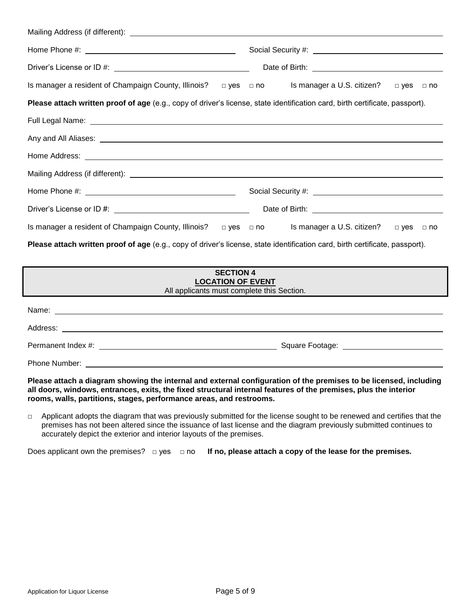| Is manager a resident of Champaign County, Illinois? $\Box$ yes $\Box$ no Is manager a U.S. citizen?                                                                                                                                 | □ yes □ no           |  |  |
|--------------------------------------------------------------------------------------------------------------------------------------------------------------------------------------------------------------------------------------|----------------------|--|--|
| Please attach written proof of age (e.g., copy of driver's license, state identification card, birth certificate, passport).                                                                                                         |                      |  |  |
| Full Legal Name: <u>Discovery and the set of the set of the set of the set of the set of the set of the set of the set of the set of the set of the set of the set of the set of the set of the set of the set of the set of the</u> |                      |  |  |
| Any and All Aliases: <u>example and a series of the series of the series of the series of the series of the series of</u>                                                                                                            |                      |  |  |
|                                                                                                                                                                                                                                      |                      |  |  |
|                                                                                                                                                                                                                                      |                      |  |  |
|                                                                                                                                                                                                                                      |                      |  |  |
|                                                                                                                                                                                                                                      |                      |  |  |
| Is manager a resident of Champaign County, Illinois? $\Box$ yes $\Box$ no Is manager a U.S. citizen?                                                                                                                                 | $\Box$ yes $\Box$ no |  |  |
| Please attach written proof of age (e.g., copy of driver's license, state identification card, birth certificate, passport).                                                                                                         |                      |  |  |
| <b>SECTION 4</b><br><b>LOCATION OF EVENT</b><br>All applicants must complete this Section.                                                                                                                                           |                      |  |  |
|                                                                                                                                                                                                                                      |                      |  |  |
|                                                                                                                                                                                                                                      |                      |  |  |
|                                                                                                                                                                                                                                      |                      |  |  |

Phone Number: \_\_\_\_\_

**Please attach a diagram showing the internal and external configuration of the premises to be licensed, including all doors, windows, entrances, exits, the fixed structural internal features of the premises, plus the interior rooms, walls, partitions, stages, performance areas, and restrooms.** 

 $\Box$  Applicant adopts the diagram that was previously submitted for the license sought to be renewed and certifies that the premises has not been altered since the issuance of last license and the diagram previously submitted continues to accurately depict the exterior and interior layouts of the premises.

Does applicant own the premises? □ yes □ no **If no, please attach a copy of the lease for the premises.**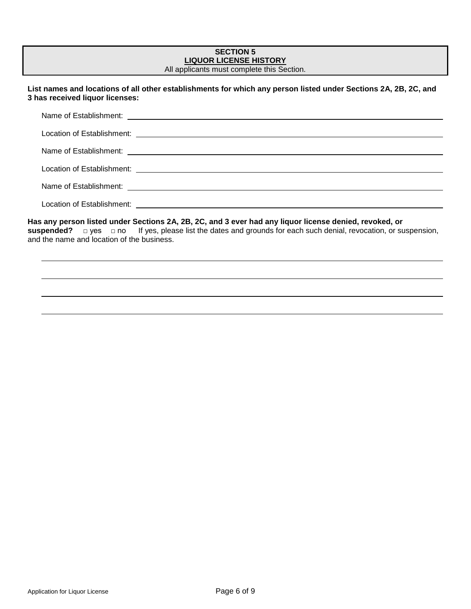| <b>SECTION 5</b><br><b>LIQUOR LICENSE HISTORY</b><br>All applicants must complete this Section.                                                                                                                                                                                    |
|------------------------------------------------------------------------------------------------------------------------------------------------------------------------------------------------------------------------------------------------------------------------------------|
| List names and locations of all other establishments for which any person listed under Sections 2A, 2B, 2C, and<br>3 has received liquor licenses:                                                                                                                                 |
|                                                                                                                                                                                                                                                                                    |
| Location of Establishment: <u>[1989]</u> The contract of the contract of the contract of the contract of the contract of the contract of the contract of the contract of the contract of the contract of the contract of the contra                                                |
|                                                                                                                                                                                                                                                                                    |
| Location of Establishment:<br>Location of Establishment:                                                                                                                                                                                                                           |
|                                                                                                                                                                                                                                                                                    |
| Location of Establishment: New York Changes and Changes and Changes and Changes and Changes and Changes and Ch                                                                                                                                                                     |
| Has any person listed under Sections 2A, 2B, 2C, and 3 ever had any liquor license denied, revoked, or<br>suspended? $\Box$ yes $\Box$ no If yes, please list the dates and grounds for each such denial, revocation, or suspension,<br>and the name and location of the business. |
|                                                                                                                                                                                                                                                                                    |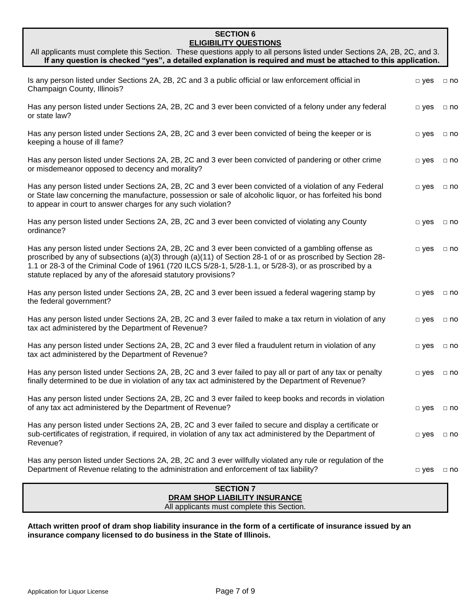#### **SECTION 6 ELIGIBILITY QUESTIONS**

| All applicants must complete this Section. These questions apply to all persons listed under Sections 2A, 2B, 2C, and 3.<br>If any question is checked "yes", a detailed explanation is required and must be attached to this application.                                                                                                                                                   |               |           |
|----------------------------------------------------------------------------------------------------------------------------------------------------------------------------------------------------------------------------------------------------------------------------------------------------------------------------------------------------------------------------------------------|---------------|-----------|
| Is any person listed under Sections 2A, 2B, 2C and 3 a public official or law enforcement official in<br>Champaign County, Illinois?                                                                                                                                                                                                                                                         | $\square$ yes | $\Box$ no |
| Has any person listed under Sections 2A, 2B, 2C and 3 ever been convicted of a felony under any federal<br>or state law?                                                                                                                                                                                                                                                                     | $\Box$ yes    | $\Box$ no |
| Has any person listed under Sections 2A, 2B, 2C and 3 ever been convicted of being the keeper or is<br>keeping a house of ill fame?                                                                                                                                                                                                                                                          | $\Box$ yes    | $\Box$ no |
| Has any person listed under Sections 2A, 2B, 2C and 3 ever been convicted of pandering or other crime<br>or misdemeanor opposed to decency and morality?                                                                                                                                                                                                                                     | $\Box$ yes    | $\Box$ no |
| Has any person listed under Sections 2A, 2B, 2C and 3 ever been convicted of a violation of any Federal<br>or State law concerning the manufacture, possession or sale of alcoholic liquor, or has forfeited his bond<br>to appear in court to answer charges for any such violation?                                                                                                        | $\Box$ yes    | $\Box$ no |
| Has any person listed under Sections 2A, 2B, 2C and 3 ever been convicted of violating any County<br>ordinance?                                                                                                                                                                                                                                                                              | $\Box$ yes    | $\Box$ no |
| Has any person listed under Sections 2A, 2B, 2C and 3 ever been convicted of a gambling offense as<br>proscribed by any of subsections (a)(3) through (a)(11) of Section 28-1 of or as proscribed by Section 28-<br>1.1 or 28-3 of the Criminal Code of 1961 (720 ILCS 5/28-1, 5/28-1.1, or 5/28-3), or as proscribed by a<br>statute replaced by any of the aforesaid statutory provisions? | $\square$ yes | $\Box$ no |
| Has any person listed under Sections 2A, 2B, 2C and 3 ever been issued a federal wagering stamp by<br>the federal government?                                                                                                                                                                                                                                                                | $\Box$ yes    | $\Box$ no |
| Has any person listed under Sections 2A, 2B, 2C and 3 ever failed to make a tax return in violation of any<br>tax act administered by the Department of Revenue?                                                                                                                                                                                                                             | $\Box$ yes    | $\Box$ no |
| Has any person listed under Sections 2A, 2B, 2C and 3 ever filed a fraudulent return in violation of any<br>tax act administered by the Department of Revenue?                                                                                                                                                                                                                               | $\Box$ yes    | $\Box$ no |
| Has any person listed under Sections 2A, 2B, 2C and 3 ever failed to pay all or part of any tax or penalty<br>finally determined to be due in violation of any tax act administered by the Department of Revenue?                                                                                                                                                                            | $\Box$ yes    | $\Box$ no |
| Has any person listed under Sections 2A, 2B, 2C and 3 ever failed to keep books and records in violation<br>of any tax act administered by the Department of Revenue?                                                                                                                                                                                                                        | $\Box$ yes    | $\Box$ no |
| Has any person listed under Sections 2A, 2B, 2C and 3 ever failed to secure and display a certificate or<br>sub-certificates of registration, if required, in violation of any tax act administered by the Department of<br>Revenue?                                                                                                                                                         | $\Box$ yes    | $\Box$ no |
| Has any person listed under Sections 2A, 2B, 2C and 3 ever willfully violated any rule or regulation of the<br>Department of Revenue relating to the administration and enforcement of tax liability?                                                                                                                                                                                        | $\Box$ yes    | $\Box$ no |
| <b>SECTION 7</b>                                                                                                                                                                                                                                                                                                                                                                             |               |           |
| <b>DRAM SHOP LIABILITY INSURANCE</b><br>All applicants must complete this Section.                                                                                                                                                                                                                                                                                                           |               |           |

**Attach written proof of dram shop liability insurance in the form of a certificate of insurance issued by an insurance company licensed to do business in the State of Illinois.**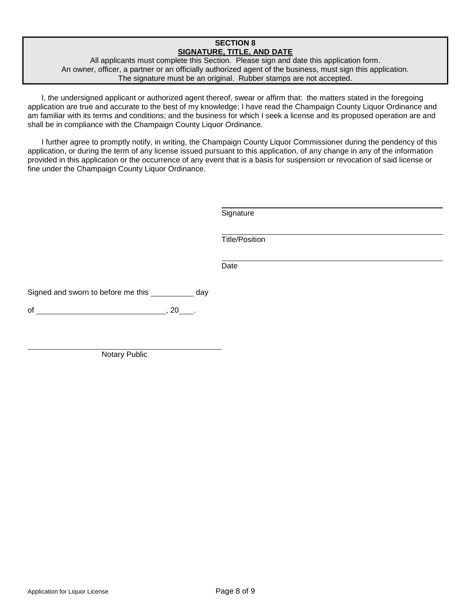#### **SECTION 8 SIGNATURE, TITLE, AND DATE**

All applicants must complete this Section. Please sign and date this application form. An owner, officer, a partner or an officially authorized agent of the business, must sign this application. The signature must be an original. Rubber stamps are not accepted.

I, the undersigned applicant or authorized agent thereof, swear or affirm that: the matters stated in the foregoing application are true and accurate to the best of my knowledge; I have read the Champaign County Liquor Ordinance and am familiar with its terms and conditions; and the business for which I seek a license and its proposed operation are and shall be in compliance with the Champaign County Liquor Ordinance.

I further agree to promptly notify, in writing, the Champaign County Liquor Commissioner during the pendency of this application, or during the term of any license issued pursuant to this application, of any change in any of the information provided in this application or the occurrence of any event that is a basis for suspension or revocation of said license or fine under the Champaign County Liquor Ordinance.

**Signature** 

Title/Position

Date

Signed and sworn to before me this \_\_\_\_\_\_\_\_\_\_ day

of  $, 20$  .

Notary Public